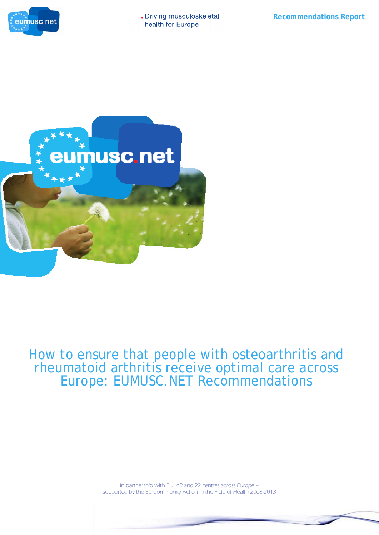



# How to ensure that people with osteoarthritis and rheumatoid arthritis receive optimal care across Europe: EUMUSC.NET Recommendations

In partnership with EULAR and 22 centres across Europe – Supported by the EC Community Action in the Field of Health 2008-2013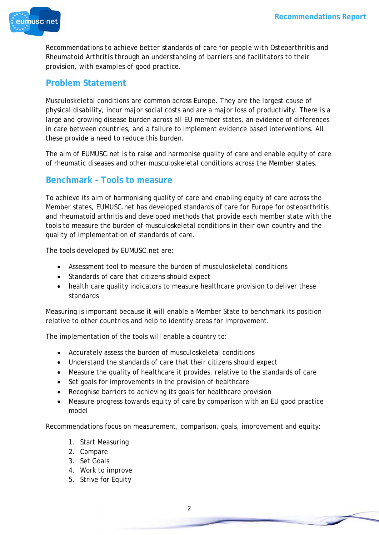

*Recommendations to achieve better standards of care for people with Osteoarthritis and Rheumatoid Arthritis through an understanding of barriers and facilitators to their provision, with examples of good practice.* 

## **Problem Statement**

Musculoskeletal conditions are common across Europe. They are the largest cause of physical disability, incur major social costs and are a major loss of productivity. There is a large and growing disease burden across all EU member states, an evidence of differences in care between countries, and a failure to implement evidence based interventions. All these provide a need to reduce this burden.

The aim of EUMUSC.net is to raise and harmonise quality of care and enable equity of care of rheumatic diseases and other musculoskeletal conditions across the Member states.

#### **Benchmark – Tools to measure**

To achieve its aim of harmonising quality of care and enabling equity of care across the Member states, EUMUSC.net has developed standards of care for Europe for osteoarthritis and rheumatoid arthritis and developed methods that provide each member state with the tools to measure the burden of musculoskeletal conditions in their own country and the quality of implementation of standards of care.

The tools developed by EUMUSC.net are:

- Assessment tool to measure the burden of musculoskeletal conditions
- Standards of care that citizens should expect
- health care quality indicators to measure healthcare provision to deliver these standards

Measuring is important because it will enable a Member State to benchmark its position relative to other countries and help to identify areas for improvement.

The implementation of the tools will enable a country to:

- Accurately assess the burden of musculoskeletal conditions
- Understand the standards of care that their citizens should expect
- Measure the quality of healthcare it provides, relative to the standards of care
- Set goals for improvements in the provision of healthcare
- Recognise barriers to achieving its goals for healthcare provision
- Measure progress towards equity of care by comparison with an EU good practice model

Recommendations focus on measurement, comparison, goals, improvement and equity:

- 1. Start Measuring
- 2. Compare
- 3. Set Goals
- 4. Work to improve
- 5. Strive for Equity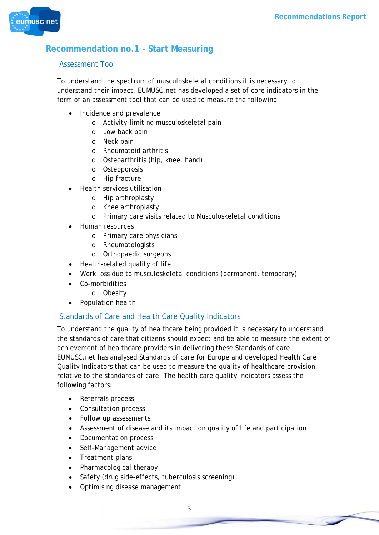

# **Recommendation no.1 - Start Measuring**

#### Assessment Tool

To understand the spectrum of musculoskeletal conditions it is necessary to understand their impact. EUMUSC.net has developed a set of core indicators in the form of an assessment tool that can be used to measure the following:

- Incidence and prevalence
	- o Activity-limiting musculoskeletal pain
	- o Low back pain
	- o Neck pain
	- o Rheumatoid arthritis
	- o Osteoarthritis (hip, knee, hand)
	- o Osteoporosis
	- o Hip fracture
- Health services utilisation
	- o Hip arthroplasty
	- o Knee arthroplasty
	- o Primary care visits related to Musculoskeletal conditions
- Human resources
	- o Primary care physicians
	- o Rheumatologists
	- o Orthopaedic surgeons
- Health-related quality of life
- Work loss due to musculoskeletal conditions (permanent, temporary)
- Co-morbidities
	- o Obesity
- Population health

#### Standards of Care and Health Care Quality Indicators

To understand the quality of healthcare being provided it is necessary to understand the standards of care that citizens should expect and be able to measure the extent of achievement of healthcare providers in delivering these Standards of care. EUMUSC.net has analysed Standards of care for Europe and developed Health Care Quality Indicators that can be used to measure the quality of healthcare provision, relative to the standards of care. The health care quality indicators assess the following factors:

- Referrals process
- Consultation process
- Follow up assessments
- Assessment of disease and its impact on quality of life and participation
- Documentation process
- Self-Management advice
- Treatment plans
- Pharmacological therapy
- Safety (drug side-effects, tuberculosis screening)
- Optimising disease management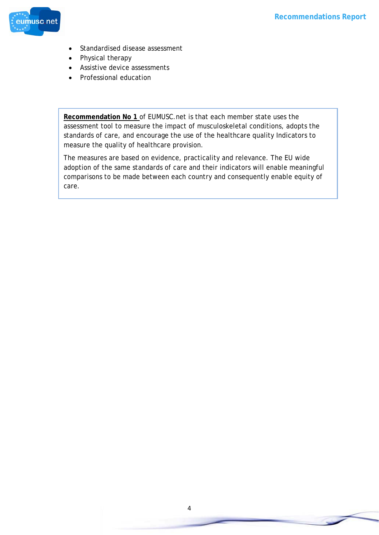

- Standardised disease assessment
- Physical therapy
- Assistive device assessments
- Professional education

**Recommendation No 1** of EUMUSC.net is that each member state uses the assessment tool to measure the impact of musculoskeletal conditions, adopts the standards of care, and encourage the use of the healthcare quality Indicators to measure the quality of healthcare provision.

The measures are based on evidence, practicality and relevance. The EU wide adoption of the same standards of care and their indicators will enable meaningful comparisons to be made between each country and consequently enable equity of care.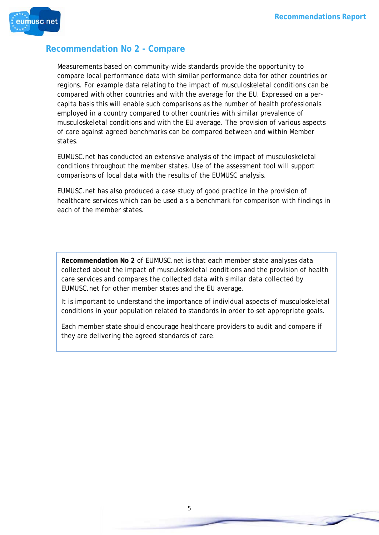

#### **Recommendation No 2 - Compare**

Measurements based on community-wide standards provide the opportunity to compare local performance data with similar performance data for other countries or regions. For example data relating to the impact of musculoskeletal conditions can be compared with other countries and with the average for the EU. Expressed on a percapita basis this will enable such comparisons as the number of health professionals employed in a country compared to other countries with similar prevalence of musculoskeletal conditions and with the EU average. The provision of various aspects of care against agreed benchmarks can be compared between and within Member states.

EUMUSC.net has conducted an extensive analysis of the impact of musculoskeletal conditions throughout the member states. Use of the assessment tool will support comparisons of local data with the results of the EUMUSC analysis.

EUMUSC.net has also produced a case study of good practice in the provision of healthcare services which can be used a s a benchmark for comparison with findings in each of the member states.

**Recommendation No 2** of EUMUSC.net is that each member state analyses data collected about the impact of musculoskeletal conditions and the provision of health care services and compares the collected data with similar data collected by EUMUSC.net for other member states and the EU average.

It is important to understand the importance of individual aspects of musculoskeletal conditions in your population related to standards in order to set appropriate goals.

Each member state should encourage healthcare providers to audit and compare if they are delivering the agreed standards of care.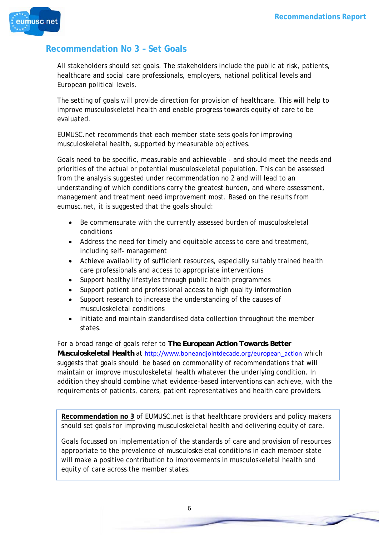

## **Recommendation No 3 – Set Goals**

All stakeholders should set goals. The stakeholders include the public at risk, patients, healthcare and social care professionals, employers, national political levels and European political levels.

The setting of goals will provide direction for provision of healthcare. This will help to improve musculoskeletal health and enable progress towards equity of care to be evaluated.

EUMUSC.net recommends that each member state sets goals for improving musculoskeletal health, supported by measurable objectives.

Goals need to be specific, measurable and achievable - and should meet the needs and priorities of the actual or potential musculoskeletal population. This can be assessed from the analysis suggested under recommendation no 2 and will lead to an understanding of which conditions carry the greatest burden, and where assessment, management and treatment need improvement most. Based on the results from eumusc.net, it is suggested that the goals should:

- Be commensurate with the currently assessed burden of musculoskeletal conditions
- Address the need for timely and equitable access to care and treatment, including self- management
- Achieve availability of sufficient resources, especially suitably trained health care professionals and access to appropriate interventions
- Support healthy lifestyles through public health programmes
- Support patient and professional access to high quality information
- Support research to increase the understanding of the causes of musculoskeletal conditions
- Initiate and maintain standardised data collection throughout the member states.

For a broad range of goals refer to *The European Action Towards Better Musculoskeletal Health* at http://www.boneandjointdecade.org/european\_action which suggests that goals should be based on commonality of recommendations that will maintain or improve musculoskeletal health whatever the underlying condition. In addition they should combine what evidence-based interventions can achieve, with the requirements of patients, carers, patient representatives and health care providers.

**Recommendation no 3** of EUMUSC.net is that healthcare providers and policy makers should set goals for improving musculoskeletal health and delivering equity of care.

Goals focussed on implementation of the standards of care and provision of resources appropriate to the prevalence of musculoskeletal conditions in each member state will make a positive contribution to improvements in musculoskeletal health and equity of care across the member states.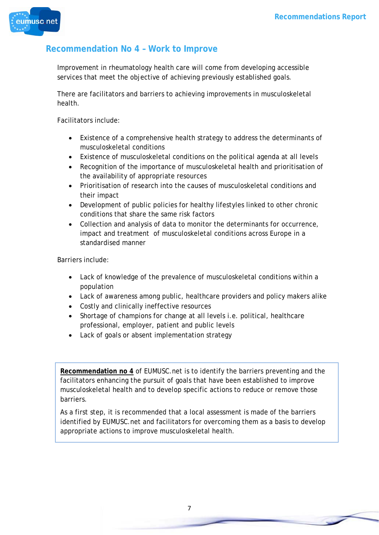

### **Recommendation No 4 – Work to Improve**

Improvement in rheumatology health care will come from developing accessible services that meet the objective of achieving previously established goals.

There are facilitators and barriers to achieving improvements in musculoskeletal health.

Facilitators include:

- Existence of a comprehensive health strategy to address the determinants of musculoskeletal conditions
- Existence of musculoskeletal conditions on the political agenda at all levels
- Recognition of the importance of musculoskeletal health and prioritisation of the availability of appropriate resources
- Prioritisation of research into the causes of musculoskeletal conditions and their impact
- Development of public policies for healthy lifestyles linked to other chronic conditions that share the same risk factors
- Collection and analysis of data to monitor the determinants for occurrence, impact and treatment of musculoskeletal conditions across Europe in a standardised manner

Barriers include:

- Lack of knowledge of the prevalence of musculoskeletal conditions within a population
- Lack of awareness among public, healthcare providers and policy makers alike
- Costly and clinically ineffective resources
- Shortage of champions for change at all levels i.e. political, healthcare professional, employer, patient and public levels
- Lack of goals or absent implementation strategy

**Recommendation no 4** of EUMUSC.net is to identify the barriers preventing and the facilitators enhancing the pursuit of goals that have been established to improve musculoskeletal health and to develop specific actions to reduce or remove those barriers.

As a first step, it is recommended that a local assessment is made of the barriers identified by EUMUSC.net and facilitators for overcoming them as a basis to develop appropriate actions to improve musculoskeletal health.